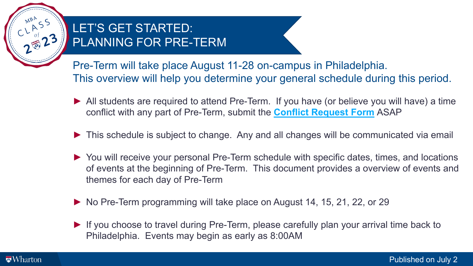

## LET'S GET STARTED: PLANNING FOR PRE-TERM

Pre-Term will take place August 11-28 on-campus in Philadelphia. This overview will help you determine your general schedule during this period.

- ► All students are required to attend Pre-Term. If you have (or believe you will have) a time conflict with any part of Pre-Term, submit the **[Conflict Request Form](https://mba-inside.wharton.upenn.edu/pre-term-conflict-request/?whrtntok=9123e6beb8cd11ebb3ad0a8a0675e269)** ASAP
- ► This schedule is subject to change. Any and all changes will be communicated via email
- ► You will receive your personal Pre-Term schedule with specific dates, times, and locations of events at the beginning of Pre-Term. This document provides a overview of events and themes for each day of Pre-Term
- ► No Pre-Term programming will take place on August 14, 15, 21, 22, or 29
- ► If you choose to travel during Pre-Term, please carefully plan your arrival time back to Philadelphia. Events may begin as early as 8:00AM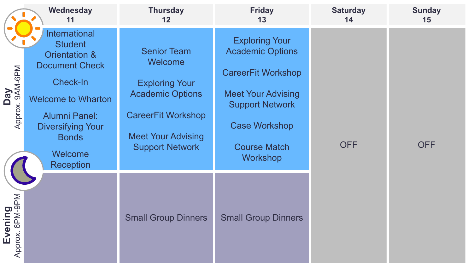|                                       | Wednesday<br>11                                                                                                                                                                                                                                       | <b>Thursday</b><br>$12 \,$                                                                                                                                            | <b>Friday</b><br>13                                                                                                                                                                                    | <b>Saturday</b><br>14 | <b>Sunday</b><br>15 |
|---------------------------------------|-------------------------------------------------------------------------------------------------------------------------------------------------------------------------------------------------------------------------------------------------------|-----------------------------------------------------------------------------------------------------------------------------------------------------------------------|--------------------------------------------------------------------------------------------------------------------------------------------------------------------------------------------------------|-----------------------|---------------------|
| Day<br>x.9AM-6PM<br>Approx.           | <b>International</b><br><b>Student</b><br><b>Orientation &amp;</b><br><b>Document Check</b><br><b>Check-In</b><br><b>Welcome to Wharton</b><br><b>Alumni Panel:</b><br><b>Diversifying Your</b><br><b>Bonds</b><br><b>Welcome</b><br><b>Reception</b> | <b>Senior Team</b><br>Welcome<br><b>Exploring Your</b><br><b>Academic Options</b><br><b>CareerFit Workshop</b><br><b>Meet Your Advising</b><br><b>Support Network</b> | <b>Exploring Your</b><br><b>Academic Options</b><br><b>CareerFit Workshop</b><br><b>Meet Your Advising</b><br><b>Support Network</b><br><b>Case Workshop</b><br><b>Course Match</b><br><b>Workshop</b> | <b>OFF</b>            | <b>OFF</b>          |
| Evening<br>prox. 6PM-9PM<br>Approx. 6 |                                                                                                                                                                                                                                                       | <b>Small Group Dinners</b>                                                                                                                                            | <b>Small Group Dinners</b>                                                                                                                                                                             |                       |                     |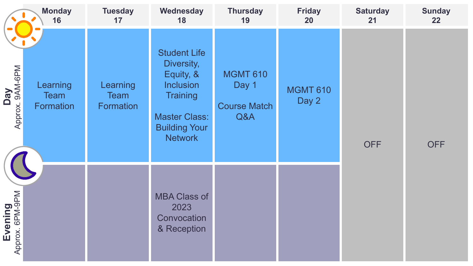|                                     | <b>Monday</b><br>16           | <b>Tuesday</b><br>17                 | Wednesday<br>18                                                                                                                                         | <b>Thursday</b><br>19                                  | <b>Friday</b><br><b>20</b> | <b>Saturday</b><br>21 | <b>Sunday</b><br>22 |
|-------------------------------------|-------------------------------|--------------------------------------|---------------------------------------------------------------------------------------------------------------------------------------------------------|--------------------------------------------------------|----------------------------|-----------------------|---------------------|
| Day<br>x.9AM-6PM<br>Approx.         | Learning<br>Team<br>Formation | Learning<br><b>Team</b><br>Formation | <b>Student Life</b><br>Diversity,<br>Equity, &<br><b>Inclusion</b><br><b>Training</b><br><b>Master Class:</b><br><b>Building Your</b><br><b>Network</b> | <b>MGMT 610</b><br>Day 1<br><b>Course Match</b><br>Q&A | <b>MGMT 610</b><br>Day 2   | <b>OFF</b>            | <b>OFF</b>          |
| Evening<br>prox. 6PM-9PM<br>Approx. |                               |                                      | <b>MBA Class of</b><br>2023<br>Convocation<br>& Reception                                                                                               |                                                        |                            |                       |                     |